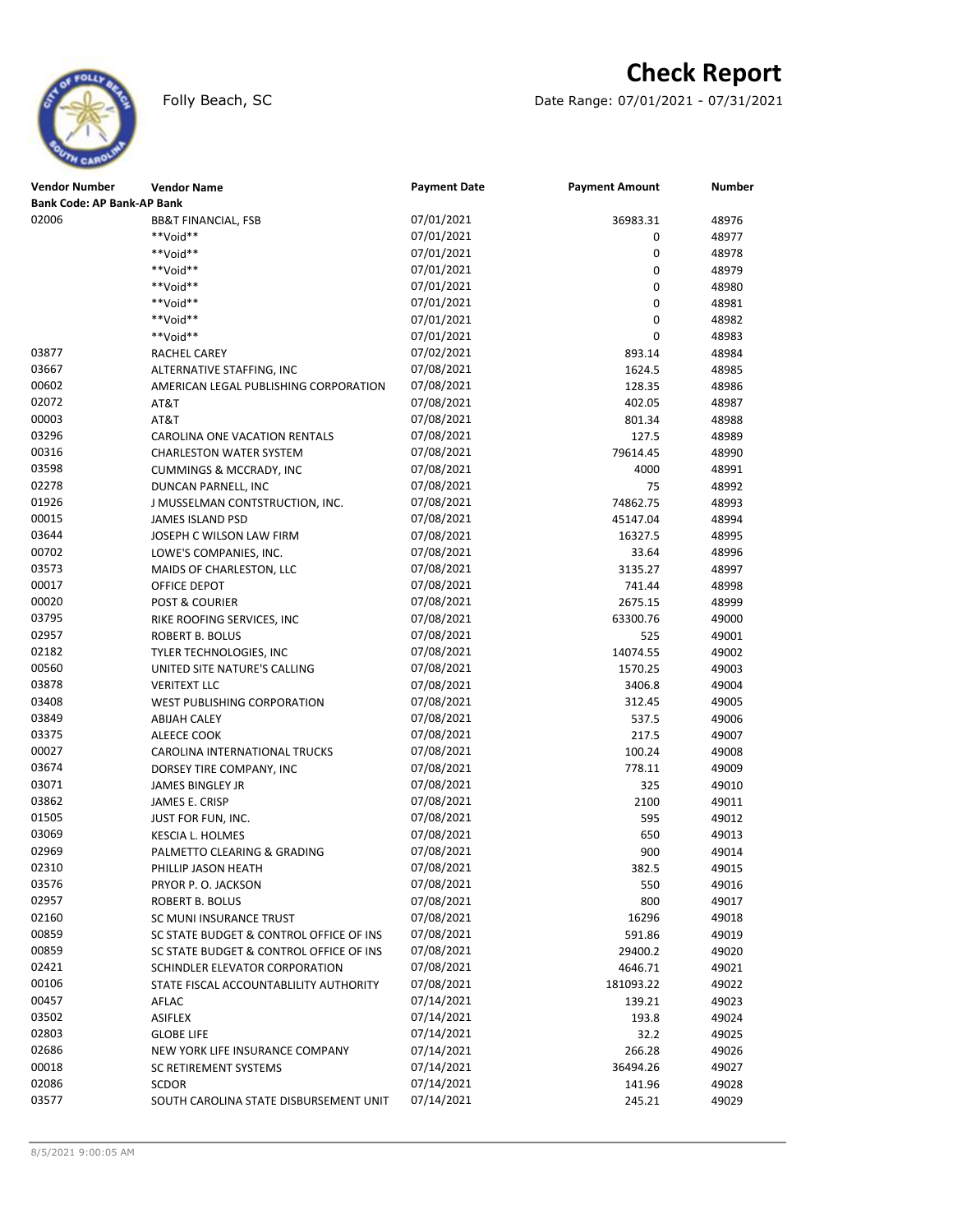# **Check Report**

Folly Beach, SC Date Range: 07/01/2021 - 07/31/2021

| Vendor Number                     | <b>Vendor Name</b>                      | <b>Payment Date</b> | <b>Payment Amount</b> | Number |
|-----------------------------------|-----------------------------------------|---------------------|-----------------------|--------|
| <b>Bank Code: AP Bank-AP Bank</b> |                                         |                     |                       |        |
| 02006                             | <b>BB&amp;T FINANCIAL, FSB</b>          | 07/01/2021          | 36983.31              | 48976  |
|                                   | **Void**                                | 07/01/2021          | 0                     | 48977  |
|                                   | **Void**                                | 07/01/2021          | 0                     | 48978  |
|                                   | **Void**                                | 07/01/2021          | 0                     | 48979  |
|                                   | **Void**                                | 07/01/2021          | 0                     | 48980  |
|                                   | **Void**                                | 07/01/2021          | 0                     | 48981  |
|                                   | **Void**                                | 07/01/2021          | 0                     | 48982  |
|                                   | **Void**                                | 07/01/2021          | 0                     | 48983  |
| 03877                             | RACHEL CAREY                            | 07/02/2021          | 893.14                | 48984  |
| 03667                             | ALTERNATIVE STAFFING, INC               | 07/08/2021          | 1624.5                | 48985  |
| 00602                             | AMERICAN LEGAL PUBLISHING CORPORATION   | 07/08/2021          | 128.35                | 48986  |
| 02072                             | AT&T                                    | 07/08/2021          | 402.05                | 48987  |
| 00003                             | AT&T                                    | 07/08/2021          | 801.34                | 48988  |
| 03296                             | CAROLINA ONE VACATION RENTALS           | 07/08/2021          | 127.5                 | 48989  |
| 00316                             | <b>CHARLESTON WATER SYSTEM</b>          | 07/08/2021          | 79614.45              | 48990  |
| 03598                             | <b>CUMMINGS &amp; MCCRADY, INC</b>      | 07/08/2021          | 4000                  | 48991  |
| 02278                             | DUNCAN PARNELL, INC                     | 07/08/2021          | 75                    | 48992  |
| 01926                             | J MUSSELMAN CONTSTRUCTION, INC.         | 07/08/2021          | 74862.75              | 48993  |
| 00015                             | <b>JAMES ISLAND PSD</b>                 | 07/08/2021          | 45147.04              | 48994  |
| 03644                             | JOSEPH C WILSON LAW FIRM                | 07/08/2021          | 16327.5               | 48995  |
| 00702                             | LOWE'S COMPANIES, INC.                  | 07/08/2021          | 33.64                 | 48996  |
| 03573                             | MAIDS OF CHARLESTON, LLC                | 07/08/2021          | 3135.27               | 48997  |
| 00017                             | OFFICE DEPOT                            | 07/08/2021          | 741.44                | 48998  |
| 00020                             | <b>POST &amp; COURIER</b>               | 07/08/2021          | 2675.15               | 48999  |
| 03795                             | RIKE ROOFING SERVICES, INC              | 07/08/2021          | 63300.76              | 49000  |
| 02957                             | <b>ROBERT B. BOLUS</b>                  | 07/08/2021          | 525                   | 49001  |
| 02182                             | TYLER TECHNOLOGIES, INC                 | 07/08/2021          | 14074.55              | 49002  |
| 00560                             | UNITED SITE NATURE'S CALLING            | 07/08/2021          | 1570.25               | 49003  |
| 03878                             | <b>VERITEXT LLC</b>                     | 07/08/2021          | 3406.8                | 49004  |
| 03408                             | <b>WEST PUBLISHING CORPORATION</b>      | 07/08/2021          | 312.45                | 49005  |
| 03849                             | <b>ABIJAH CALEY</b>                     | 07/08/2021          | 537.5                 | 49006  |
| 03375                             | ALEECE COOK                             | 07/08/2021          | 217.5                 | 49007  |
| 00027                             | CAROLINA INTERNATIONAL TRUCKS           | 07/08/2021          | 100.24                | 49008  |
| 03674                             | DORSEY TIRE COMPANY, INC                | 07/08/2021          | 778.11                | 49009  |
| 03071                             | JAMES BINGLEY JR                        | 07/08/2021          | 325                   | 49010  |
| 03862                             | JAMES E. CRISP                          | 07/08/2021          | 2100                  | 49011  |
| 01505                             | JUST FOR FUN, INC.                      | 07/08/2021          | 595                   | 49012  |
| 03069                             | KESCIA L. HOLMES                        | 07/08/2021          | 650                   | 49013  |
| 02969                             | PALMETTO CLEARING & GRADING             | 07/08/2021          | 900                   | 49014  |
| 02310                             | PHILLIP JASON HEATH                     | 07/08/2021          | 382.5                 | 49015  |
| 03576                             | PRYOR P. O. JACKSON                     | 07/08/2021          | 550                   | 49016  |
| 02957                             | ROBERT B. BOLUS                         | 07/08/2021          | 800                   | 49017  |
| 02160                             | SC MUNI INSURANCE TRUST                 | 07/08/2021          | 16296                 | 49018  |
| 00859                             | SC STATE BUDGET & CONTROL OFFICE OF INS | 07/08/2021          | 591.86                | 49019  |
| 00859                             | SC STATE BUDGET & CONTROL OFFICE OF INS | 07/08/2021          | 29400.2               | 49020  |
| 02421                             | SCHINDLER ELEVATOR CORPORATION          | 07/08/2021          | 4646.71               | 49021  |
| 00106                             | STATE FISCAL ACCOUNTABLILITY AUTHORITY  | 07/08/2021          | 181093.22             | 49022  |
| 00457                             | AFLAC                                   | 07/14/2021          | 139.21                | 49023  |
| 03502                             | <b>ASIFLEX</b>                          | 07/14/2021          | 193.8                 | 49024  |
| 02803                             | <b>GLOBE LIFE</b>                       | 07/14/2021          | 32.2                  | 49025  |
| 02686                             | NEW YORK LIFE INSURANCE COMPANY         | 07/14/2021          | 266.28                | 49026  |
| 00018                             | SC RETIREMENT SYSTEMS                   | 07/14/2021          | 36494.26              | 49027  |
| 02086                             | SCDOR                                   | 07/14/2021          | 141.96                | 49028  |
| 03577                             | SOUTH CAROLINA STATE DISBURSEMENT UNIT  | 07/14/2021          | 245.21                | 49029  |
|                                   |                                         |                     |                       |        |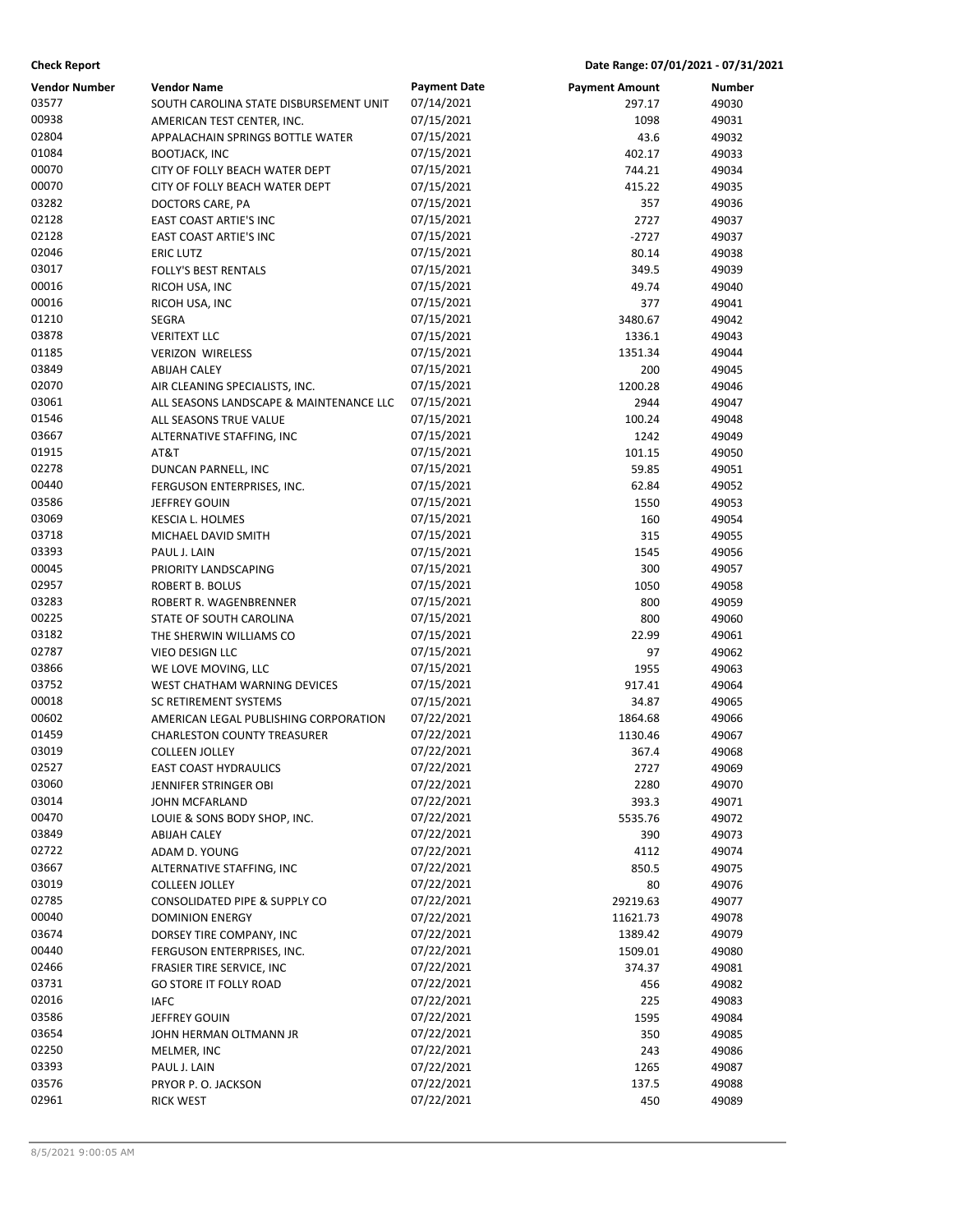|  | Date Range: 07/01/2021 - 07/31/2021 |  |
|--|-------------------------------------|--|
|--|-------------------------------------|--|

| <b>Check Report</b>           |                                                              |                                   |                                 | Date Range: 07/01/2021 - 07/31/2021 |  |
|-------------------------------|--------------------------------------------------------------|-----------------------------------|---------------------------------|-------------------------------------|--|
| <b>Vendor Number</b><br>03577 | <b>Vendor Name</b><br>SOUTH CAROLINA STATE DISBURSEMENT UNIT | <b>Payment Date</b><br>07/14/2021 | <b>Payment Amount</b><br>297.17 | <b>Number</b><br>49030              |  |
| 00938                         | AMERICAN TEST CENTER, INC.                                   | 07/15/2021                        | 1098                            | 49031                               |  |
| 02804                         | APPALACHAIN SPRINGS BOTTLE WATER                             | 07/15/2021                        | 43.6                            | 49032                               |  |
| 01084                         | <b>BOOTJACK, INC</b>                                         | 07/15/2021                        | 402.17                          | 49033                               |  |
| 00070                         | CITY OF FOLLY BEACH WATER DEPT                               | 07/15/2021                        | 744.21                          | 49034                               |  |
| 00070                         | CITY OF FOLLY BEACH WATER DEPT                               | 07/15/2021                        | 415.22                          | 49035                               |  |
| 03282                         | DOCTORS CARE, PA                                             | 07/15/2021                        | 357                             | 49036                               |  |
| 02128                         | EAST COAST ARTIE'S INC                                       | 07/15/2021                        | 2727                            | 49037                               |  |
| 02128                         | <b>EAST COAST ARTIE'S INC</b>                                | 07/15/2021                        | $-2727$                         | 49037                               |  |
| 02046                         | <b>ERIC LUTZ</b>                                             | 07/15/2021                        | 80.14                           | 49038                               |  |
| 03017                         | <b>FOLLY'S BEST RENTALS</b>                                  | 07/15/2021                        | 349.5                           | 49039                               |  |
| 00016                         | RICOH USA, INC                                               | 07/15/2021                        | 49.74                           | 49040                               |  |
| 00016                         | RICOH USA, INC                                               | 07/15/2021                        | 377                             | 49041                               |  |
| 01210                         | <b>SEGRA</b>                                                 | 07/15/2021                        | 3480.67                         | 49042                               |  |
| 03878                         | <b>VERITEXT LLC</b>                                          | 07/15/2021                        | 1336.1                          | 49043                               |  |
| 01185                         | <b>VERIZON WIRELESS</b>                                      | 07/15/2021                        | 1351.34                         | 49044                               |  |
| 03849                         | <b>ABIJAH CALEY</b>                                          | 07/15/2021                        | 200                             | 49045                               |  |
| 02070                         | AIR CLEANING SPECIALISTS, INC.                               | 07/15/2021                        | 1200.28                         | 49046                               |  |
| 03061                         | ALL SEASONS LANDSCAPE & MAINTENANCE LLC                      | 07/15/2021                        | 2944                            | 49047                               |  |
| 01546                         | ALL SEASONS TRUE VALUE                                       | 07/15/2021                        | 100.24                          | 49048                               |  |
| 03667                         | ALTERNATIVE STAFFING, INC                                    | 07/15/2021                        | 1242                            | 49049                               |  |
| 01915                         | AT&T                                                         | 07/15/2021                        | 101.15                          | 49050                               |  |
| 02278                         | DUNCAN PARNELL, INC                                          | 07/15/2021                        | 59.85                           | 49051                               |  |
| 00440                         | FERGUSON ENTERPRISES, INC.                                   | 07/15/2021                        | 62.84                           | 49052                               |  |
| 03586                         | JEFFREY GOUIN                                                | 07/15/2021                        | 1550                            | 49053                               |  |
| 03069                         | <b>KESCIA L. HOLMES</b>                                      | 07/15/2021                        | 160                             | 49054                               |  |
| 03718                         | MICHAEL DAVID SMITH                                          | 07/15/2021                        | 315                             | 49055                               |  |
| 03393                         | PAUL J. LAIN                                                 | 07/15/2021                        | 1545                            | 49056                               |  |
| 00045                         | PRIORITY LANDSCAPING                                         | 07/15/2021                        | 300                             | 49057                               |  |
| 02957                         | ROBERT B. BOLUS                                              | 07/15/2021                        | 1050                            | 49058                               |  |
| 03283                         | ROBERT R. WAGENBRENNER                                       | 07/15/2021                        | 800                             | 49059                               |  |
| 00225                         | STATE OF SOUTH CAROLINA                                      | 07/15/2021                        | 800                             | 49060                               |  |
| 03182                         | THE SHERWIN WILLIAMS CO                                      | 07/15/2021                        | 22.99                           | 49061                               |  |
| 02787                         | VIEO DESIGN LLC                                              | 07/15/2021                        | 97                              | 49062                               |  |
| 03866                         | WE LOVE MOVING, LLC                                          | 07/15/2021                        | 1955                            | 49063                               |  |
| 03752                         | WEST CHATHAM WARNING DEVICES                                 | 07/15/2021                        | 917.41                          | 49064                               |  |
| 00018                         | SC RETIREMENT SYSTEMS                                        | 07/15/2021                        | 34.87                           | 49065                               |  |
| 00602                         | AMERICAN LEGAL PUBLISHING CORPORATION                        | 07/22/2021                        | 1864.68                         | 49066                               |  |
| 01459                         | <b>CHARLESTON COUNTY TREASURER</b>                           | 07/22/2021                        | 1130.46                         | 49067                               |  |
| 03019                         | <b>COLLEEN JOLLEY</b>                                        | 07/22/2021                        | 367.4                           | 49068                               |  |
| 02527                         | <b>EAST COAST HYDRAULICS</b>                                 | 07/22/2021                        | 2727                            | 49069                               |  |
| 03060                         | JENNIFER STRINGER OBI                                        | 07/22/2021                        | 2280                            | 49070                               |  |
| 03014                         | JOHN MCFARLAND                                               | 07/22/2021                        | 393.3                           | 49071                               |  |
| 00470                         | LOUIE & SONS BODY SHOP, INC.                                 | 07/22/2021                        | 5535.76                         | 49072                               |  |
| 03849                         | <b>ABIJAH CALEY</b>                                          | 07/22/2021                        | 390                             | 49073                               |  |
| 02722                         | ADAM D. YOUNG                                                | 07/22/2021                        | 4112                            | 49074                               |  |
| 03667                         | ALTERNATIVE STAFFING, INC                                    | 07/22/2021                        | 850.5                           | 49075                               |  |
| 03019                         | <b>COLLEEN JOLLEY</b>                                        | 07/22/2021                        | 80                              | 49076                               |  |
| 02785                         | CONSOLIDATED PIPE & SUPPLY CO                                | 07/22/2021                        | 29219.63                        | 49077                               |  |
| 00040                         | <b>DOMINION ENERGY</b>                                       | 07/22/2021                        | 11621.73                        | 49078                               |  |
| 03674                         | DORSEY TIRE COMPANY, INC                                     | 07/22/2021                        | 1389.42                         | 49079                               |  |
| 00440                         | FERGUSON ENTERPRISES, INC.                                   | 07/22/2021                        | 1509.01                         | 49080                               |  |
| 02466<br>03731                | FRASIER TIRE SERVICE, INC                                    | 07/22/2021                        | 374.37                          | 49081                               |  |
|                               | <b>GO STORE IT FOLLY ROAD</b>                                | 07/22/2021                        | 456                             | 49082                               |  |
| 02016                         | <b>IAFC</b>                                                  | 07/22/2021                        | 225                             | 49083                               |  |
| 03586                         | JEFFREY GOUIN                                                | 07/22/2021                        | 1595                            | 49084                               |  |
| 03654<br>02250                | JOHN HERMAN OLTMANN JR                                       | 07/22/2021<br>07/22/2021          | 350<br>243                      | 49085                               |  |
| 03393                         | MELMER, INC                                                  | 07/22/2021                        |                                 | 49086                               |  |
| 03576                         | PAUL J. LAIN                                                 | 07/22/2021                        | 1265<br>137.5                   | 49087<br>49088                      |  |
| 02961                         | PRYOR P. O. JACKSON                                          | 07/22/2021                        | 450                             | 49089                               |  |
|                               | RICK WEST                                                    |                                   |                                 |                                     |  |